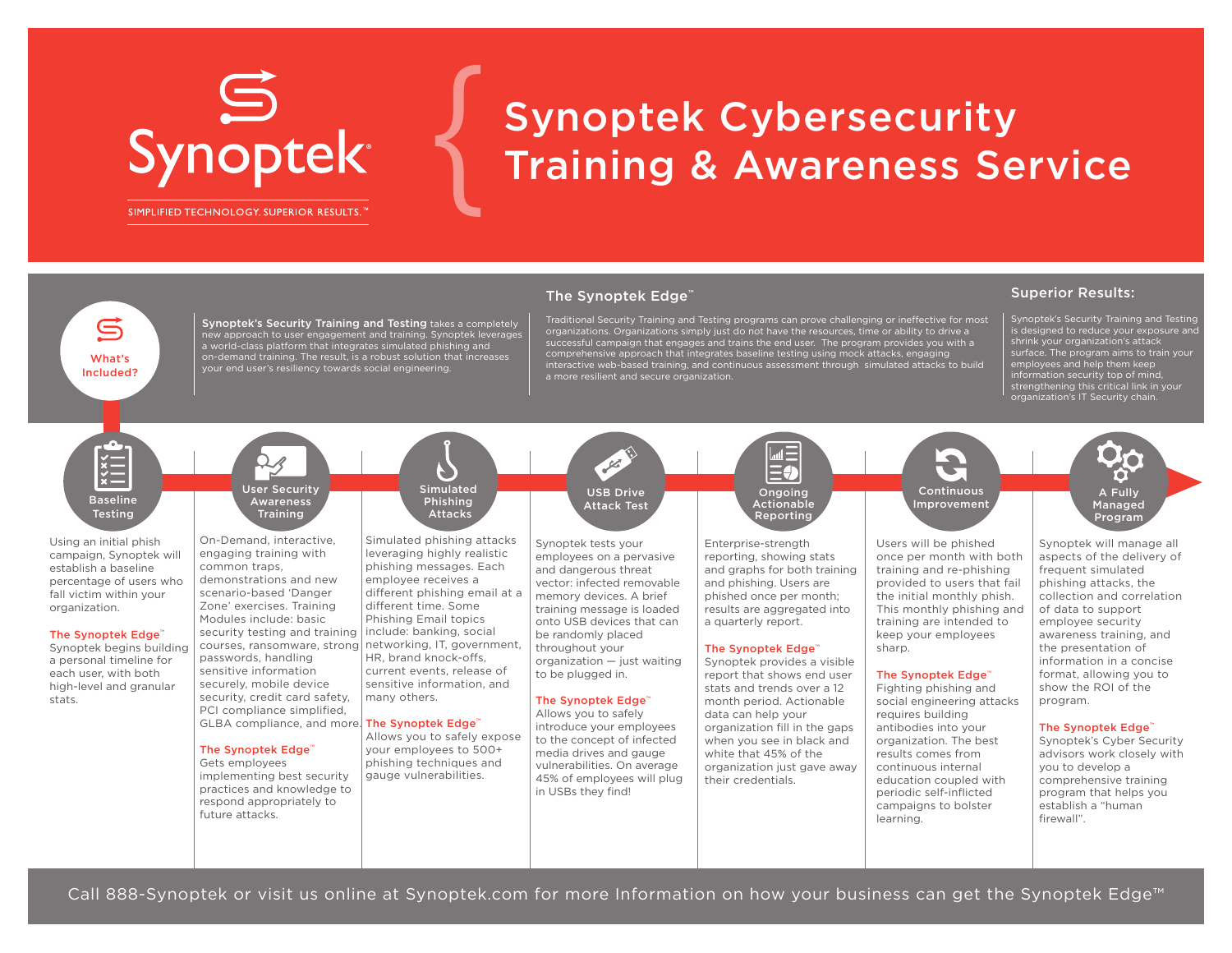## Synoptek<sup>®</sup>

#### SIMPLIFIED TECHNOLOGY. SUPERIOR RESULTS.<sup>™</sup>

What's Included?

G

Synoptek's Security Training and Testing takes a completely new approach to user engagement and training. Synoptek leverages a world-class platform that integrates simulated phishing and on-demand training. The result, is a robust solution that increases

### Synoptek Cybersecurity Training & Awareness Service

#### The Synoptek Edge<sup>™</sup>

Traditional Security Training and Testing programs can prove challenging or ineffective for most organizations. Organizations simply just do not have the resources, time or ability to drive a<br>successful campaign that engages and trains the end user. The program provides you with a<br>comprehensive approach that integrate interactive web-based training, and continuous assessment through simulated attacks to build a more resilient and secure organization.

#### Superior Results:

Synoptek's Security Training and Testing is designed to reduce your exposure and shrink your organization's attack surface. The program aims to train your employees and help them keep information security top of mind, strengthening this critical link in your organization's IT Security chain.